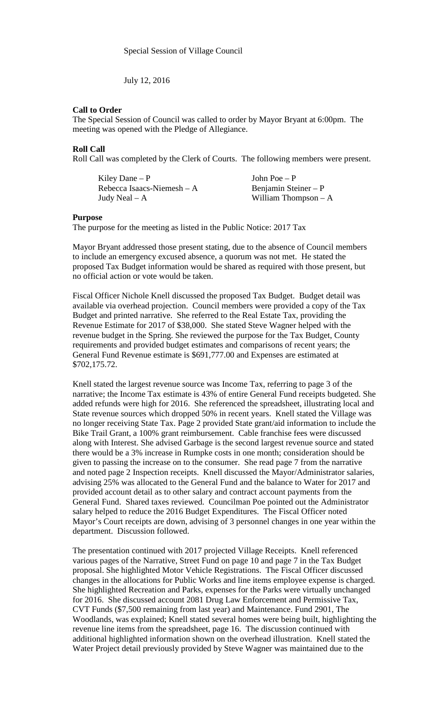July 12, 2016

## **Call to Order**

The Special Session of Council was called to order by Mayor Bryant at 6:00pm. The meeting was opened with the Pledge of Allegiance.

## **Roll Call**

Roll Call was completed by the Clerk of Courts. The following members were present.

| Kiley Dane – P             | John Poe $- P$        |
|----------------------------|-----------------------|
| Rebecca Isaacs-Niemesh – A | Benjamin Steiner $-P$ |
| Judy Neal – A              | William Thompson $-A$ |

## **Purpose**

The purpose for the meeting as listed in the Public Notice: 2017 Tax

Mayor Bryant addressed those present stating, due to the absence of Council members to include an emergency excused absence, a quorum was not met. He stated the proposed Tax Budget information would be shared as required with those present, but no official action or vote would be taken.

Fiscal Officer Nichole Knell discussed the proposed Tax Budget. Budget detail was available via overhead projection. Council members were provided a copy of the Tax Budget and printed narrative. She referred to the Real Estate Tax, providing the Revenue Estimate for 2017 of \$38,000. She stated Steve Wagner helped with the revenue budget in the Spring. She reviewed the purpose for the Tax Budget, County requirements and provided budget estimates and comparisons of recent years; the General Fund Revenue estimate is \$691,777.00 and Expenses are estimated at \$702,175.72.

Knell stated the largest revenue source was Income Tax, referring to page 3 of the narrative; the Income Tax estimate is 43% of entire General Fund receipts budgeted. She added refunds were high for 2016. She referenced the spreadsheet, illustrating local and State revenue sources which dropped 50% in recent years. Knell stated the Village was no longer receiving State Tax. Page 2 provided State grant/aid information to include the Bike Trail Grant, a 100% grant reimbursement. Cable franchise fees were discussed along with Interest. She advised Garbage is the second largest revenue source and stated there would be a 3% increase in Rumpke costs in one month; consideration should be given to passing the increase on to the consumer. She read page 7 from the narrative and noted page 2 Inspection receipts. Knell discussed the Mayor/Administrator salaries, advising 25% was allocated to the General Fund and the balance to Water for 2017 and provided account detail as to other salary and contract account payments from the General Fund. Shared taxes reviewed. Councilman Poe pointed out the Administrator salary helped to reduce the 2016 Budget Expenditures. The Fiscal Officer noted Mayor's Court receipts are down, advising of 3 personnel changes in one year within the department. Discussion followed.

The presentation continued with 2017 projected Village Receipts. Knell referenced various pages of the Narrative, Street Fund on page 10 and page 7 in the Tax Budget proposal. She highlighted Motor Vehicle Registrations. The Fiscal Officer discussed changes in the allocations for Public Works and line items employee expense is charged. She highlighted Recreation and Parks, expenses for the Parks were virtually unchanged for 2016. She discussed account 2081 Drug Law Enforcement and Permissive Tax, CVT Funds (\$7,500 remaining from last year) and Maintenance. Fund 2901, The Woodlands, was explained; Knell stated several homes were being built, highlighting the revenue line items from the spreadsheet, page 16. The discussion continued with additional highlighted information shown on the overhead illustration. Knell stated the Water Project detail previously provided by Steve Wagner was maintained due to the